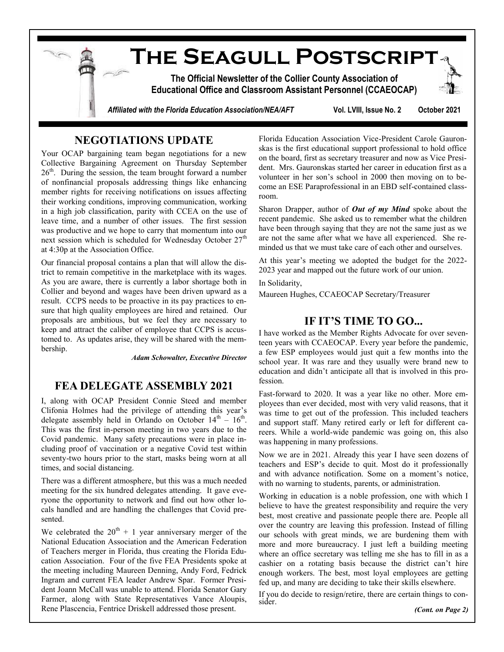**The Seagull Postscript The Official Newsletter of the Collier County Association of Educational Office and Classroom Assistant Personnel (CCAEOCAP)** *Affiliated with the Florida Education Association/NEA/AFT* **Vol. LVIII, Issue No. 2 October 2021**

### **NEGOTIATIONS UPDATE**

Your OCAP bargaining team began negotiations for a new Collective Bargaining Agreement on Thursday September 26<sup>th</sup>. During the session, the team brought forward a number of nonfinancial proposals addressing things like enhancing member rights for receiving notifications on issues affecting their working conditions, improving communication, working in a high job classification, parity with CCEA on the use of leave time, and a number of other issues. The first session was productive and we hope to carry that momentum into our next session which is scheduled for Wednesday October  $27<sup>th</sup>$ at 4:30p at the Association Office.

Our financial proposal contains a plan that will allow the district to remain competitive in the marketplace with its wages. As you are aware, there is currently a labor shortage both in Collier and beyond and wages have been driven upward as a result. CCPS needs to be proactive in its pay practices to ensure that high quality employees are hired and retained. Our proposals are ambitious, but we feel they are necessary to keep and attract the caliber of employee that CCPS is accustomed to. As updates arise, they will be shared with the membership.

*Adam Schowalter, Executive Director*

### **FEA DELEGATE ASSEMBLY 2021**

I, along with OCAP President Connie Steed and member Clifonia Holmes had the privilege of attending this year's delegate assembly held in Orlando on October  $14<sup>th</sup> - 16<sup>th</sup>$ . This was the first in-person meeting in two years due to the Covid pandemic. Many safety precautions were in place including proof of vaccination or a negative Covid test within seventy-two hours prior to the start, masks being worn at all times, and social distancing.

There was a different atmosphere, but this was a much needed meeting for the six hundred delegates attending. It gave everyone the opportunity to network and find out how other locals handled and are handling the challenges that Covid presented.

We celebrated the  $20^{th} + 1$  year anniversary merger of the National Education Association and the American Federation of Teachers merger in Florida, thus creating the Florida Education Association. Four of the five FEA Presidents spoke at the meeting including Maureen Denning, Andy Ford, Fedrick Ingram and current FEA leader Andrew Spar. Former President Joann McCall was unable to attend. Florida Senator Gary Farmer, along with State Representatives Vance Aloupis, Rene Plascencia, Fentrice Driskell addressed those present.

Florida Education Association Vice-President Carole Gauronskas is the first educational support professional to hold office on the board, first as secretary treasurer and now as Vice President. Mrs. Gauronskas started her career in education first as a volunteer in her son's school in 2000 then moving on to become an ESE Paraprofessional in an EBD self-contained classroom.

Sharon Drapper, author of *Out of my Mind* spoke about the recent pandemic. She asked us to remember what the children have been through saying that they are not the same just as we are not the same after what we have all experienced. She reminded us that we must take care of each other and ourselves.

At this year's meeting we adopted the budget for the 2022- 2023 year and mapped out the future work of our union.

In Solidarity,

Maureen Hughes, CCAEOCAP Secretary/Treasurer

### **IF IT'S TIME TO GO...**

I have worked as the Member Rights Advocate for over seventeen years with CCAEOCAP. Every year before the pandemic, a few ESP employees would just quit a few months into the school year. It was rare and they usually were brand new to education and didn't anticipate all that is involved in this profession.

Fast-forward to 2020. It was a year like no other. More employees than ever decided, most with very valid reasons, that it was time to get out of the profession. This included teachers and support staff. Many retired early or left for different careers. While a world-wide pandemic was going on, this also was happening in many professions.

Now we are in 2021. Already this year I have seen dozens of teachers and ESP's decide to quit. Most do it professionally and with advance notification. Some on a moment's notice, with no warning to students, parents, or administration.

Working in education is a noble profession, one with which I believe to have the greatest responsibility and require the very best, most creative and passionate people there are. People all over the country are leaving this profession. Instead of filling our schools with great minds, we are burdening them with more and more bureaucracy. I just left a building meeting where an office secretary was telling me she has to fill in as a cashier on a rotating basis because the district can't hire enough workers. The best, most loyal employees are getting fed up, and many are deciding to take their skills elsewhere.

If you do decide to resign/retire, there are certain things to consider.